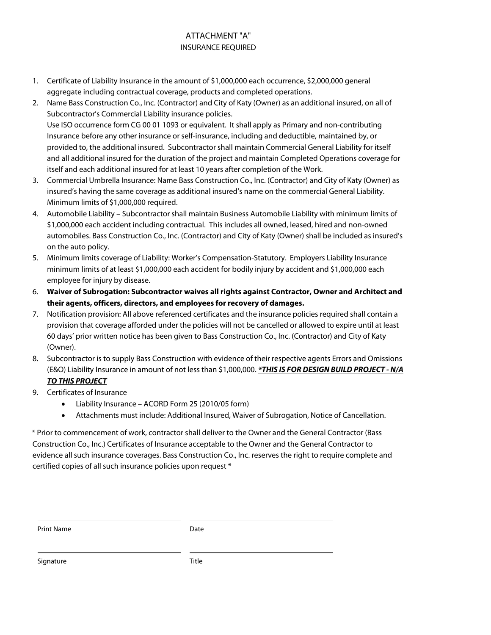## ATTACHMENT "A" INSURANCE REQUIRED

- 1. Certificate of Liability Insurance in the amount of \$1,000,000 each occurrence, \$2,000,000 general aggregate including contractual coverage, products and completed operations.
- 2. Name Bass Construction Co., Inc. (Contractor) and City of Katy (Owner) as an additional insured, on all of Subcontractor's Commercial Liability insurance policies. Use ISO occurrence form CG 00 01 1093 or equivalent. It shall apply as Primary and non-contributing Insurance before any other insurance or self-insurance, including and deductible, maintained by, or provided to, the additional insured. Subcontractor shall maintain Commercial General Liability for itself
	- and all additional insured for the duration of the project and maintain Completed Operations coverage for itself and each additional insured for at least 10 years after completion of the Work.
- 3. Commercial Umbrella Insurance: Name Bass Construction Co., Inc. (Contractor) and City of Katy (Owner) as insured's having the same coverage as additional insured's name on the commercial General Liability. Minimum limits of \$1,000,000 required.
- 4. Automobile Liability Subcontractor shall maintain Business Automobile Liability with minimum limits of \$1,000,000 each accident including contractual. This includes all owned, leased, hired and non-owned automobiles. Bass Construction Co., Inc. (Contractor) and City of Katy (Owner) shall be included as insured's on the auto policy.
- 5. Minimum limits coverage of Liability: Worker's Compensation-Statutory. Employers Liability Insurance minimum limits of at least \$1,000,000 each accident for bodily injury by accident and \$1,000,000 each employee for injury by disease.
- 6. **Waiver of Subrogation: Subcontractor waives all rights against Contractor, Owner and Architect and their agents, officers, directors, and employees for recovery of damages.**
- 7. Notification provision: All above referenced certificates and the insurance policies required shall contain a provision that coverage afforded under the policies will not be cancelled or allowed to expire until at least 60 days' prior written notice has been given to Bass Construction Co., Inc. (Contractor) and City of Katy (Owner).
- 8. Subcontractor is to supply Bass Construction with evidence of their respective agents Errors and Omissions (E&O) Liability Insurance in amount of not less than \$1,000,000. **\*THIS IS FOR DESIGN BUILD PROJECT - N/A TO THIS PROJECT**
- 9. Certificates of Insurance
	- Liability Insurance ACORD Form 25 (2010/05 form)
	- Attachments must include: Additional Insured, Waiver of Subrogation, Notice of Cancellation.

\* Prior to commencement of work, contractor shall deliver to the Owner and the General Contractor (Bass Construction Co., Inc.) Certificates of Insurance acceptable to the Owner and the General Contractor to evidence all such insurance coverages. Bass Construction Co., Inc. reserves the right to require complete and certified copies of all such insurance policies upon request \*

| <b>Print Name</b> | Date |
|-------------------|------|
|-------------------|------|

Signature Title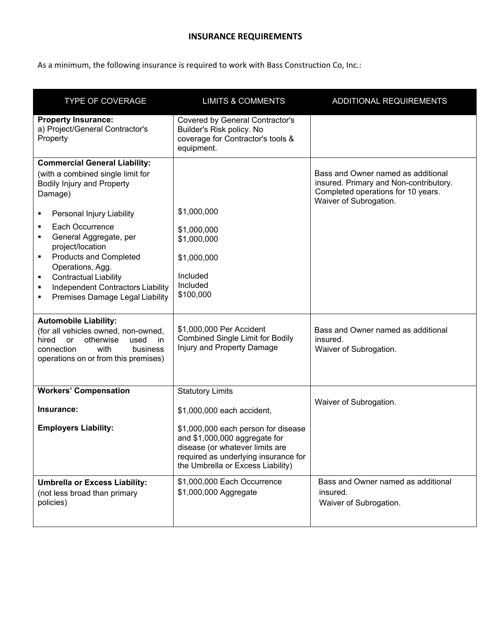## **INSURANCE REQUIREMENTS**

As a minimum, the following insurance is required to work with Bass Construction Co, Inc.:

| <b>TYPE OF COVERAGE</b>                                                                                                                                                                                                                                                                                                                                                                        | <b>LIMITS &amp; COMMENTS</b>                                                                                                                                                                                                                  | ADDITIONAL REQUIREMENTS                                                                                                                      |
|------------------------------------------------------------------------------------------------------------------------------------------------------------------------------------------------------------------------------------------------------------------------------------------------------------------------------------------------------------------------------------------------|-----------------------------------------------------------------------------------------------------------------------------------------------------------------------------------------------------------------------------------------------|----------------------------------------------------------------------------------------------------------------------------------------------|
| <b>Property Insurance:</b><br>a) Project/General Contractor's<br>Property                                                                                                                                                                                                                                                                                                                      | Covered by General Contractor's<br>Builder's Risk policy. No<br>coverage for Contractor's tools &<br>equipment.                                                                                                                               |                                                                                                                                              |
| <b>Commercial General Liability:</b><br>(with a combined single limit for<br><b>Bodily Injury and Property</b><br>Damage)<br>Personal Injury Liability<br>Each Occurrence<br>General Aggregate, per<br>project/location<br><b>Products and Completed</b><br>٠<br>Operations, Agg.<br><b>Contractual Liability</b><br>٠<br>Independent Contractors Liability<br>Premises Damage Legal Liability | \$1,000,000<br>\$1,000,000<br>\$1,000,000<br>\$1,000,000<br>Included<br>Included<br>\$100,000                                                                                                                                                 | Bass and Owner named as additional<br>insured. Primary and Non-contributory.<br>Completed operations for 10 years.<br>Waiver of Subrogation. |
| <b>Automobile Liability:</b><br>(for all vehicles owned, non-owned,<br>otherwise<br>hired<br>or<br>used<br>in<br>connection<br>with<br>business<br>operations on or from this premises)                                                                                                                                                                                                        | \$1,000,000 Per Accident<br><b>Combined Single Limit for Bodily</b><br>Injury and Property Damage                                                                                                                                             | Bass and Owner named as additional<br>insured.<br>Waiver of Subrogation.                                                                     |
| <b>Workers' Compensation</b><br>Insurance:<br><b>Employers Liability:</b>                                                                                                                                                                                                                                                                                                                      | <b>Statutory Limits</b><br>\$1,000,000 each accident,<br>\$1,000,000 each person for disease<br>and \$1,000,000 aggregate for<br>disease (or whatever limits are<br>required as underlying insurance for<br>the Umbrella or Excess Liability) | Waiver of Subrogation.                                                                                                                       |
| <b>Umbrella or Excess Liability:</b><br>(not less broad than primary<br>policies)                                                                                                                                                                                                                                                                                                              | \$1,000,000 Each Occurrence<br>\$1,000,000 Aggregate                                                                                                                                                                                          | Bass and Owner named as additional<br>insured.<br>Waiver of Subrogation.                                                                     |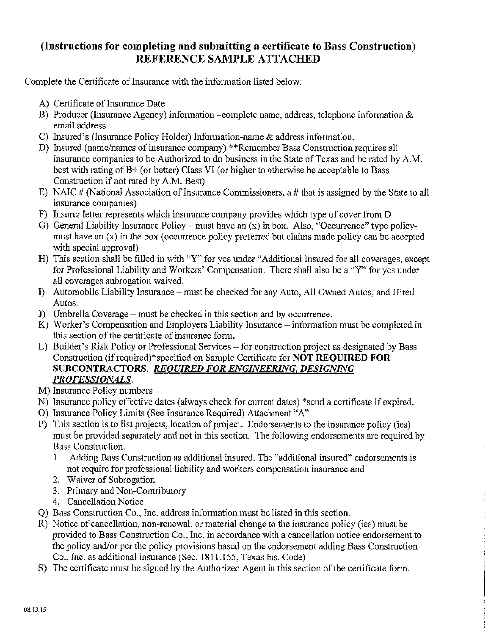## (Instructions for completing and submitting a certificate to Bass Construction) REFERENCE SAMPLE ATTACHED

Complete the Certificate of Insurance with the information listed below:

- A) Certificate of Insurance Date
- B) Producer (Insurance Agency) information -complete name, address, telephone information & email address.
- C) Insured's (Insurance Policy Holder) Information-name & address information.
- D) Insured (name/names of insurance company) \*\*Remember Bass Construction requires all insurance companies to be Authorized to do business in the State of Texas and be rated by A.M. best with rating of B+ (or better) Class VI (or higher to otherwise be acceptable to Bass Construction if not rated by A.M. Best)
- E) NAIC # (National Association of Insurance Commissioners, a # that is assigned by the State to all insurance companies)
- F) Insurer letter represents which insurance company provides which type of cover from D
- G) General Liability Insurance Policy must have an  $(x)$  in box. Also, "Occurrence" type policymust have an (x) in the box (occurrence policy preferred but claims made policy can be accepted with special approval)
- H) This section shall be filled in with "Y" for yes under "Additional Insured for all coverages, except for Professional Liability and Workers' Compensation. There shall also be a "Y" for yes under all coverages subrogation waived.
- I) Automobile Liability Insurance must be checked for any Auto, All Owned Autos, and Hired Autos.
- J) Umbrella Coverage must be checked in this section and by occurrence.
- K) Worker's Compensation and Employers Liability Insurance information must be completed in this section of the certificate of insurance form.
- L) Builder's Risk Policy or Professional Services for construction project as designated by Bass Construction (if required)\*specified on Sample Certificate for **NOT REOUIRED FOR** SUBCONTRACTORS. REQUIRED FOR ENGINEERING, DESIGNING PROFESSIONALS.
- M) Insurance Policy numbers
- N) Insurance policy effective dates (always check for current dates) \*send a certificate if expired.
- O) Insurance Policy Limits (See Insurance Required) Attachment "A"
- P) This section is to list projects, location of project. Endorsements to the insurance policy (ies) must be provided separately and not in this section. The following endorsements are required by **Bass Construction.** 
	- Adding Bass Construction as additional insured. The "additional insured" endorsements is  $1<sup>1</sup>$ not require for professional liability and workers compensation insurance and
	- 2. Waiver of Subrogation
	- 3. Primary and Non-Contributory
	- 4. Cancellation Notice
- Q) Bass Construction Co., Inc. address information must be listed in this section.
- R) Notice of cancellation, non-renewal, or material change to the insurance policy (ies) must be provided to Bass Construction Co., Inc. in accordance with a cancellation notice endorsement to the policy and/or per the policy provisions based on the endorsement adding Bass Construction Co., Inc. as additional insurance (Sec. 1811.155, Texas Ins. Code)
- S) The certificate must be signed by the Authorized Agent in this section of the certificate form.